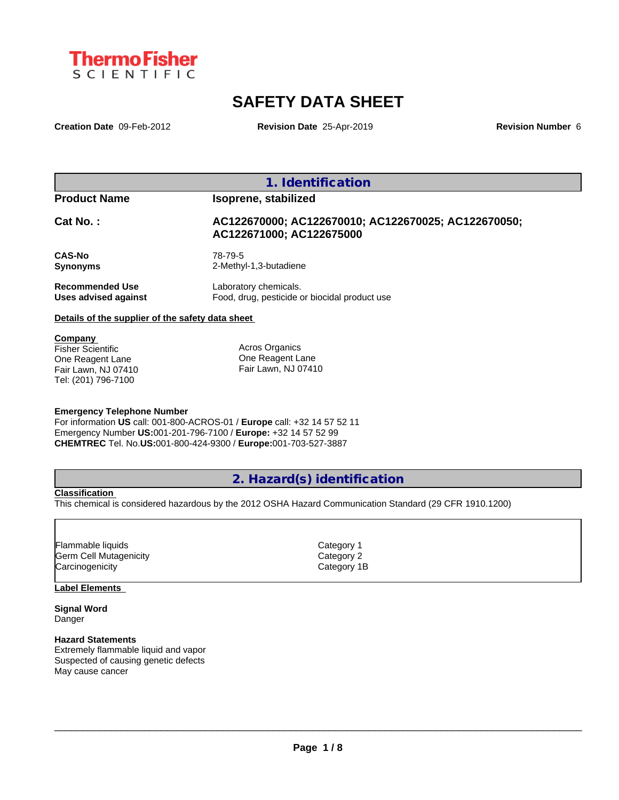

# **SAFETY DATA SHEET**

**Creation Date** 09-Feb-2012 **Revision Date** 25-Apr-2019 **Revision Number** 6

**1. Identification**

## **Product Name Isoprene, stabilized**

## **Cat No. : AC122670000; AC122670010; AC122670025; AC122670050; AC122671000; AC122675000**

**CAS-No** 78-79-5

**Synonyms** 2-Methyl-1,3-butadiene

**Recommended Use** Laboratory chemicals.<br> **Uses advised against** Food, drug, pesticide of Food, drug, pesticide or biocidal product use

## **Details of the supplier of the safety data sheet**

## **Company**

Fisher Scientific One Reagent Lane Fair Lawn, NJ 07410 Tel: (201) 796-7100

Acros Organics One Reagent Lane Fair Lawn, NJ 07410

## **Emergency Telephone Number**

For information **US** call: 001-800-ACROS-01 / **Europe** call: +32 14 57 52 11 Emergency Number **US:**001-201-796-7100 / **Europe:** +32 14 57 52 99 **CHEMTREC** Tel. No.**US:**001-800-424-9300 / **Europe:**001-703-527-3887

## **2. Hazard(s) identification**

## **Classification**

This chemical is considered hazardous by the 2012 OSHA Hazard Communication Standard (29 CFR 1910.1200)

| Flammable liquids      | Category 1  |
|------------------------|-------------|
| Germ Cell Mutagenicity | Category 2  |
| Carcinogenicity        | Category 1B |

## **Label Elements**

**Signal Word** Danger

### **Hazard Statements**

Extremely flammable liquid and vapor Suspected of causing genetic defects May cause cancer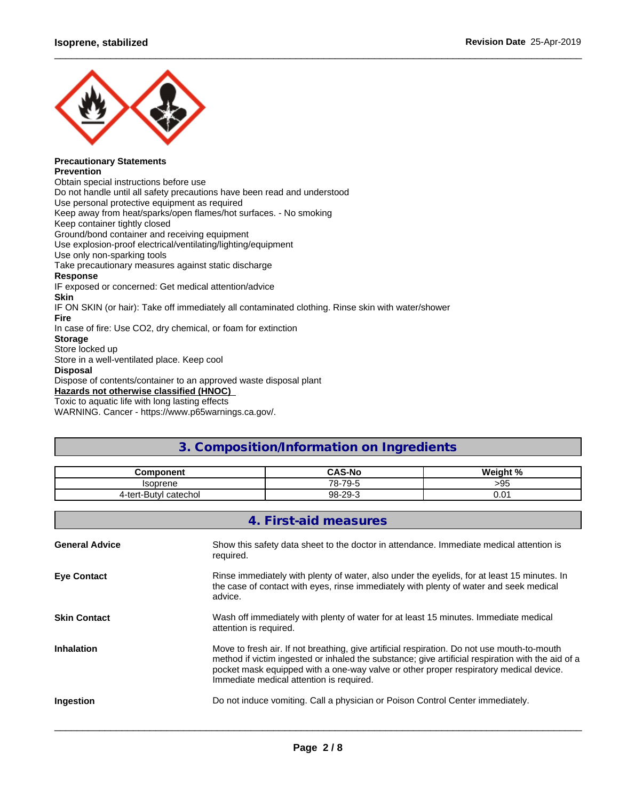

#### **Precautionary Statements Prevention**

Obtain special instructions before use Do not handle until all safety precautions have been read and understood Use personal protective equipment as required Keep away from heat/sparks/open flames/hot surfaces. - No smoking Keep container tightly closed Ground/bond container and receiving equipment Use explosion-proof electrical/ventilating/lighting/equipment Use only non-sparking tools Take precautionary measures against static discharge **Response** IF exposed or concerned: Get medical attention/advice **Skin** IF ON SKIN (or hair): Take off immediately all contaminated clothing. Rinse skin with water/shower **Fire** In case of fire: Use CO2, dry chemical, or foam for extinction **Storage** Store locked up Store in a well-ventilated place. Keep cool **Disposal** Dispose of contents/container to an approved waste disposal plant

**Hazards not otherwise classified (HNOC)**

Toxic to aquatic life with long lasting effects

WARNING. Cancer - https://www.p65warnings.ca.gov/.

## **3. Composition/Information on Ingredients**

 $\_$  ,  $\_$  ,  $\_$  ,  $\_$  ,  $\_$  ,  $\_$  ,  $\_$  ,  $\_$  ,  $\_$  ,  $\_$  ,  $\_$  ,  $\_$  ,  $\_$  ,  $\_$  ,  $\_$  ,  $\_$  ,  $\_$  ,  $\_$  ,  $\_$  ,  $\_$  ,  $\_$  ,  $\_$  ,  $\_$  ,  $\_$  ,  $\_$  ,  $\_$  ,  $\_$  ,  $\_$  ,  $\_$  ,  $\_$  ,  $\_$  ,  $\_$  ,  $\_$  ,  $\_$  ,  $\_$  ,  $\_$  ,  $\_$  ,

| $\cdots$<br>.                     | <b>CAS-N</b><br>\S-No                      | <b>. n/</b><br><b>Wain</b> |
|-----------------------------------|--------------------------------------------|----------------------------|
| conron                            | $70^{\circ}$<br>70<br>. ب<br>$\sim$<br>. . | ∩⊏<br>っつこ                  |
| catechol<br>4-ter<br>Butvi<br>. . | $.29 -$<br>98.                             | v.v                        |

|                       | 4. First-aid measures                                                                                                                                                                                                                                                                                                                 |
|-----------------------|---------------------------------------------------------------------------------------------------------------------------------------------------------------------------------------------------------------------------------------------------------------------------------------------------------------------------------------|
| <b>General Advice</b> | Show this safety data sheet to the doctor in attendance. Immediate medical attention is<br>required.                                                                                                                                                                                                                                  |
| <b>Eye Contact</b>    | Rinse immediately with plenty of water, also under the eyelids, for at least 15 minutes. In<br>the case of contact with eyes, rinse immediately with plenty of water and seek medical<br>advice.                                                                                                                                      |
| <b>Skin Contact</b>   | Wash off immediately with plenty of water for at least 15 minutes. Immediate medical<br>attention is required.                                                                                                                                                                                                                        |
| <b>Inhalation</b>     | Move to fresh air. If not breathing, give artificial respiration. Do not use mouth-to-mouth<br>method if victim ingested or inhaled the substance; give artificial respiration with the aid of a<br>pocket mask equipped with a one-way valve or other proper respiratory medical device.<br>Immediate medical attention is required. |
| Ingestion             | Do not induce vomiting. Call a physician or Poison Control Center immediately.                                                                                                                                                                                                                                                        |
|                       |                                                                                                                                                                                                                                                                                                                                       |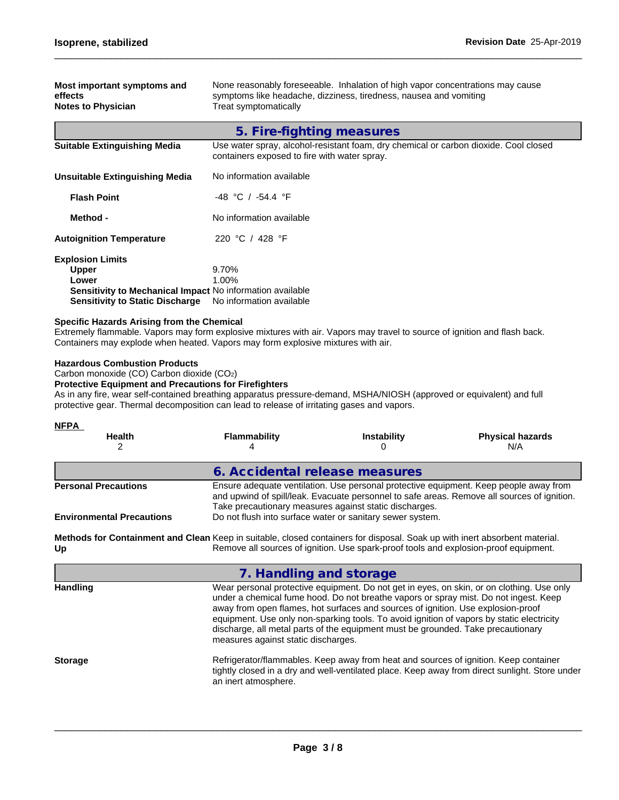| Most important symptoms and<br>effects<br><b>Notes to Physician</b>                                                                                     | None reasonably foreseeable. Inhalation of high vapor concentrations may cause<br>symptoms like headache, dizziness, tiredness, nausea and vomiting<br>Treat symptomatically |
|---------------------------------------------------------------------------------------------------------------------------------------------------------|------------------------------------------------------------------------------------------------------------------------------------------------------------------------------|
|                                                                                                                                                         |                                                                                                                                                                              |
|                                                                                                                                                         | 5. Fire-fighting measures                                                                                                                                                    |
| <b>Suitable Extinguishing Media</b>                                                                                                                     | Use water spray, alcohol-resistant foam, dry chemical or carbon dioxide. Cool closed<br>containers exposed to fire with water spray.                                         |
| Unsuitable Extinguishing Media                                                                                                                          | No information available                                                                                                                                                     |
| <b>Flash Point</b>                                                                                                                                      | $-48$ °C / $-54.4$ °F                                                                                                                                                        |
| Method -                                                                                                                                                | No information available                                                                                                                                                     |
| <b>Autoignition Temperature</b>                                                                                                                         | 220 °C / 428 °F                                                                                                                                                              |
| <b>Explosion Limits</b><br><b>Upper</b><br>Lower<br>Sensitivity to Mechanical Impact No information available<br><b>Sensitivity to Static Discharge</b> | 9.70%<br>$1.00\%$<br>No information available                                                                                                                                |

## **Specific Hazards Arising from the Chemical**

Extremely flammable. Vapors may form explosive mixtures with air. Vapors may travel to source of ignition and flash back. Containers may explode when heated. Vapors may form explosive mixtures with air.

## **Hazardous Combustion Products**

Carbon monoxide (CO) Carbon dioxide (CO2)

## **Protective Equipment and Precautions for Firefighters**

As in any fire, wear self-contained breathing apparatus pressure-demand, MSHA/NIOSH (approved or equivalent) and full protective gear. Thermal decomposition can lead to release of irritating gases and vapors.

## **NFPA**

| .<br><b>Health</b>               | Flammability                                                                                                                                                                                                                                   | <b>Instability</b>                                        | <b>Physical hazards</b><br>N/A |  |  |
|----------------------------------|------------------------------------------------------------------------------------------------------------------------------------------------------------------------------------------------------------------------------------------------|-----------------------------------------------------------|--------------------------------|--|--|
|                                  | 6. Accidental release measures                                                                                                                                                                                                                 |                                                           |                                |  |  |
| <b>Personal Precautions</b>      | Ensure adequate ventilation. Use personal protective equipment. Keep people away from<br>and upwind of spill/leak. Evacuate personnel to safe areas. Remove all sources of ignition.<br>Take precautionary measures against static discharges. |                                                           |                                |  |  |
| <b>Environmental Precautions</b> |                                                                                                                                                                                                                                                | Do not flush into surface water or sanitary sewer system. |                                |  |  |
|                                  |                                                                                                                                                                                                                                                |                                                           |                                |  |  |

**Methods for Containment and Clean Keep in suitable, closed containers for disposal. Soak up with inert absorbent material. Up** Remove all sources of ignition. Use spark-proof tools and explosion-proof equipment.

## **7. Handling and storage**

| <b>Handling</b> | Wear personal protective equipment. Do not get in eyes, on skin, or on clothing. Use only<br>under a chemical fume hood. Do not breathe vapors or spray mist. Do not ingest. Keep<br>away from open flames, hot surfaces and sources of ignition. Use explosion-proof |
|-----------------|-----------------------------------------------------------------------------------------------------------------------------------------------------------------------------------------------------------------------------------------------------------------------|
|                 | equipment. Use only non-sparking tools. To avoid ignition of vapors by static electricity                                                                                                                                                                             |
|                 | discharge, all metal parts of the equipment must be grounded. Take precautionary<br>measures against static discharges.                                                                                                                                               |
| <b>Storage</b>  | Refrigerator/flammables. Keep away from heat and sources of ignition. Keep container                                                                                                                                                                                  |
|                 | tightly closed in a dry and well-ventilated place. Keep away from direct sunlight. Store under<br>an inert atmosphere.                                                                                                                                                |
|                 |                                                                                                                                                                                                                                                                       |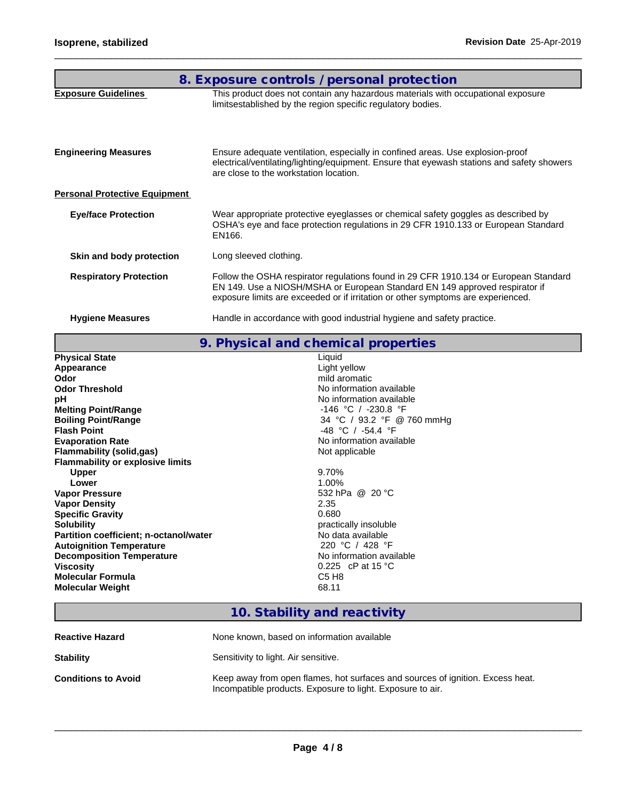|                                      | 8. Exposure controls / personal protection                                                                                                                                                                                                              |
|--------------------------------------|---------------------------------------------------------------------------------------------------------------------------------------------------------------------------------------------------------------------------------------------------------|
| <b>Exposure Guidelines</b>           | This product does not contain any hazardous materials with occupational exposure<br>limitsestablished by the region specific regulatory bodies.                                                                                                         |
| <b>Engineering Measures</b>          | Ensure adequate ventilation, especially in confined areas. Use explosion-proof<br>electrical/ventilating/lighting/equipment. Ensure that eyewash stations and safety showers<br>are close to the workstation location.                                  |
| <b>Personal Protective Equipment</b> |                                                                                                                                                                                                                                                         |
| <b>Eye/face Protection</b>           | Wear appropriate protective eyeglasses or chemical safety goggles as described by<br>OSHA's eye and face protection regulations in 29 CFR 1910.133 or European Standard<br>EN166.                                                                       |
| Skin and body protection             | Long sleeved clothing.                                                                                                                                                                                                                                  |
| <b>Respiratory Protection</b>        | Follow the OSHA respirator regulations found in 29 CFR 1910.134 or European Standard<br>EN 149. Use a NIOSH/MSHA or European Standard EN 149 approved respirator if<br>exposure limits are exceeded or if irritation or other symptoms are experienced. |
| <b>Hygiene Measures</b>              | Handle in accordance with good industrial hygiene and safety practice.                                                                                                                                                                                  |
|                                      |                                                                                                                                                                                                                                                         |

**9. Physical and chemical properties**

| Light yellow<br>Appearance<br>mild aromatic<br>Odor<br>No information available<br><b>Odor Threshold</b><br>No information available<br>рH<br><b>Melting Point/Range</b><br>$-146$ °C / $-230.8$ °F<br>34 °C / 93.2 °F @ 760 mmHg<br><b>Boiling Point/Range</b><br><b>Flash Point</b><br>$-48$ °C / $-54.4$ °F<br>No information available<br><b>Evaporation Rate</b><br>Not applicable<br>Flammability (solid,gas)<br><b>Flammability or explosive limits</b><br>9.70%<br><b>Upper</b><br>$1.00\%$<br>Lower<br>532 hPa @ 20 °C<br><b>Vapor Pressure</b><br>2.35<br><b>Vapor Density</b><br><b>Specific Gravity</b><br>0.680<br><b>Solubility</b><br>practically insoluble<br>Partition coefficient; n-octanol/water<br>No data available<br>220 °C / 428 °F<br><b>Autoignition Temperature</b><br>No information available<br><b>Decomposition Temperature</b><br>0.225 cP at 15 °C<br><b>Viscosity</b><br>C5 H <sub>8</sub><br><b>Molecular Formula</b> | <b>Physical State</b>   | Liquid |
|-----------------------------------------------------------------------------------------------------------------------------------------------------------------------------------------------------------------------------------------------------------------------------------------------------------------------------------------------------------------------------------------------------------------------------------------------------------------------------------------------------------------------------------------------------------------------------------------------------------------------------------------------------------------------------------------------------------------------------------------------------------------------------------------------------------------------------------------------------------------------------------------------------------------------------------------------------------|-------------------------|--------|
|                                                                                                                                                                                                                                                                                                                                                                                                                                                                                                                                                                                                                                                                                                                                                                                                                                                                                                                                                           |                         |        |
|                                                                                                                                                                                                                                                                                                                                                                                                                                                                                                                                                                                                                                                                                                                                                                                                                                                                                                                                                           |                         |        |
|                                                                                                                                                                                                                                                                                                                                                                                                                                                                                                                                                                                                                                                                                                                                                                                                                                                                                                                                                           |                         |        |
|                                                                                                                                                                                                                                                                                                                                                                                                                                                                                                                                                                                                                                                                                                                                                                                                                                                                                                                                                           |                         |        |
|                                                                                                                                                                                                                                                                                                                                                                                                                                                                                                                                                                                                                                                                                                                                                                                                                                                                                                                                                           |                         |        |
|                                                                                                                                                                                                                                                                                                                                                                                                                                                                                                                                                                                                                                                                                                                                                                                                                                                                                                                                                           |                         |        |
|                                                                                                                                                                                                                                                                                                                                                                                                                                                                                                                                                                                                                                                                                                                                                                                                                                                                                                                                                           |                         |        |
|                                                                                                                                                                                                                                                                                                                                                                                                                                                                                                                                                                                                                                                                                                                                                                                                                                                                                                                                                           |                         |        |
|                                                                                                                                                                                                                                                                                                                                                                                                                                                                                                                                                                                                                                                                                                                                                                                                                                                                                                                                                           |                         |        |
|                                                                                                                                                                                                                                                                                                                                                                                                                                                                                                                                                                                                                                                                                                                                                                                                                                                                                                                                                           |                         |        |
|                                                                                                                                                                                                                                                                                                                                                                                                                                                                                                                                                                                                                                                                                                                                                                                                                                                                                                                                                           |                         |        |
|                                                                                                                                                                                                                                                                                                                                                                                                                                                                                                                                                                                                                                                                                                                                                                                                                                                                                                                                                           |                         |        |
|                                                                                                                                                                                                                                                                                                                                                                                                                                                                                                                                                                                                                                                                                                                                                                                                                                                                                                                                                           |                         |        |
|                                                                                                                                                                                                                                                                                                                                                                                                                                                                                                                                                                                                                                                                                                                                                                                                                                                                                                                                                           |                         |        |
|                                                                                                                                                                                                                                                                                                                                                                                                                                                                                                                                                                                                                                                                                                                                                                                                                                                                                                                                                           |                         |        |
|                                                                                                                                                                                                                                                                                                                                                                                                                                                                                                                                                                                                                                                                                                                                                                                                                                                                                                                                                           |                         |        |
|                                                                                                                                                                                                                                                                                                                                                                                                                                                                                                                                                                                                                                                                                                                                                                                                                                                                                                                                                           |                         |        |
|                                                                                                                                                                                                                                                                                                                                                                                                                                                                                                                                                                                                                                                                                                                                                                                                                                                                                                                                                           |                         |        |
|                                                                                                                                                                                                                                                                                                                                                                                                                                                                                                                                                                                                                                                                                                                                                                                                                                                                                                                                                           |                         |        |
|                                                                                                                                                                                                                                                                                                                                                                                                                                                                                                                                                                                                                                                                                                                                                                                                                                                                                                                                                           |                         |        |
|                                                                                                                                                                                                                                                                                                                                                                                                                                                                                                                                                                                                                                                                                                                                                                                                                                                                                                                                                           |                         |        |
|                                                                                                                                                                                                                                                                                                                                                                                                                                                                                                                                                                                                                                                                                                                                                                                                                                                                                                                                                           | <b>Molecular Weight</b> | 68.11  |

# **10. Stability and reactivity**

| <b>Reactive Hazard</b>     | None known, based on information available                                                                                                   |
|----------------------------|----------------------------------------------------------------------------------------------------------------------------------------------|
| <b>Stability</b>           | Sensitivity to light. Air sensitive.                                                                                                         |
| <b>Conditions to Avoid</b> | Keep away from open flames, hot surfaces and sources of ignition. Excess heat.<br>Incompatible products. Exposure to light. Exposure to air. |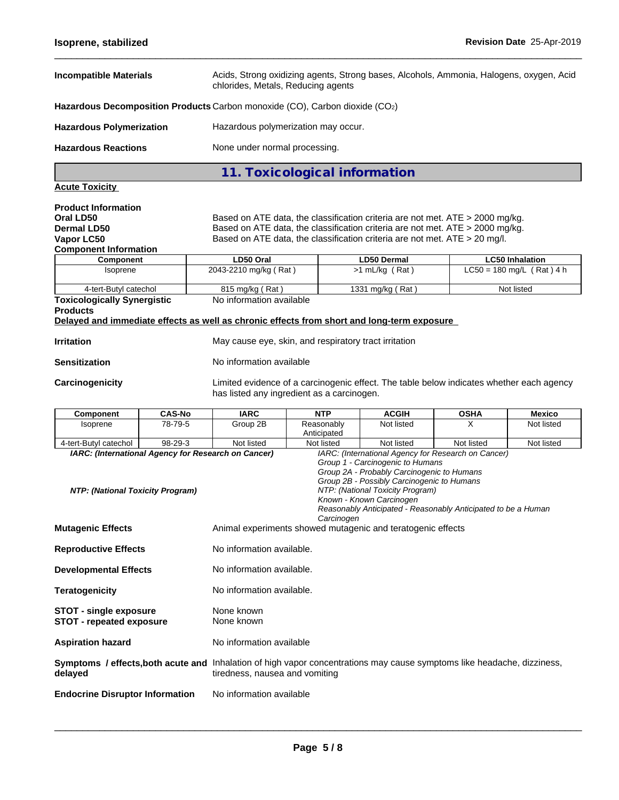| <b>Incompatible Materials</b>                                                                                                 | Acids, Strong oxidizing agents, Strong bases, Alcohols, Ammonia, Halogens, oxygen, Acid<br>chlorides, Metals, Reducing agents                                                                                                                                                                             |                                      |                                           |  |  |
|-------------------------------------------------------------------------------------------------------------------------------|-----------------------------------------------------------------------------------------------------------------------------------------------------------------------------------------------------------------------------------------------------------------------------------------------------------|--------------------------------------|-------------------------------------------|--|--|
|                                                                                                                               | Hazardous Decomposition Products Carbon monoxide (CO), Carbon dioxide (CO2)                                                                                                                                                                                                                               |                                      |                                           |  |  |
| <b>Hazardous Polymerization</b>                                                                                               | Hazardous polymerization may occur.                                                                                                                                                                                                                                                                       |                                      |                                           |  |  |
| <b>Hazardous Reactions</b>                                                                                                    | None under normal processing.                                                                                                                                                                                                                                                                             |                                      |                                           |  |  |
|                                                                                                                               | 11. Toxicological information                                                                                                                                                                                                                                                                             |                                      |                                           |  |  |
| <b>Acute Toxicity</b>                                                                                                         |                                                                                                                                                                                                                                                                                                           |                                      |                                           |  |  |
| <b>Product Information</b><br>Oral LD50<br>Dermal LD50<br>Vapor LC50<br><b>Component Information</b><br>Component<br>Isoprene | Based on ATE data, the classification criteria are not met. ATE > 2000 mg/kg.<br>Based on ATE data, the classification criteria are not met. ATE > 2000 mg/kg.<br>Based on ATE data, the classification criteria are not met. ATE > 20 mg/l.<br>LD50 Oral<br><b>LD50 Dermal</b><br><b>LC50 Inhalation</b> |                                      |                                           |  |  |
| 4-tert-Butyl catechol                                                                                                         | 2043-2210 mg/kg (Rat)<br>815 mg/kg (Rat)                                                                                                                                                                                                                                                                  | $>1$ mL/kg (Rat)<br>1331 mg/kg (Rat) | $LC50 = 180$ mg/L (Rat) 4 h<br>Not listed |  |  |
| <b>Toxicologically Synergistic</b><br><b>Products</b>                                                                         | No information available<br>Delayed and immediate effects as well as chronic effects from short and long-term exposure                                                                                                                                                                                    |                                      |                                           |  |  |
| <b>Irritation</b>                                                                                                             | May cause eye, skin, and respiratory tract irritation                                                                                                                                                                                                                                                     |                                      |                                           |  |  |
| <b>Sensitization</b>                                                                                                          | No information available                                                                                                                                                                                                                                                                                  |                                      |                                           |  |  |
| Carcinogenicity                                                                                                               | Limited evidence of a carcinogenic effect. The table below indicates whether each agency<br>has listed any ingredient as a carcinogen.                                                                                                                                                                    |                                      |                                           |  |  |

| <b>Component</b>                                                                                                                   | <b>CAS-No</b> | <b>IARC</b>                                                 | <b>NTP</b>                | <b>ACGIH</b>                                                                                                                                                                                 | <b>OSHA</b>                                                   | <b>Mexico</b> |
|------------------------------------------------------------------------------------------------------------------------------------|---------------|-------------------------------------------------------------|---------------------------|----------------------------------------------------------------------------------------------------------------------------------------------------------------------------------------------|---------------------------------------------------------------|---------------|
| Isoprene                                                                                                                           | 78-79-5       | Group 2B                                                    | Reasonably<br>Anticipated | Not listed                                                                                                                                                                                   | x                                                             | Not listed    |
| 4-tert-Butyl catechol                                                                                                              | 98-29-3       | Not listed                                                  | Not listed                | Not listed                                                                                                                                                                                   | Not listed                                                    | Not listed    |
| IARC: (International Agency for Research on Cancer)                                                                                |               |                                                             |                           |                                                                                                                                                                                              | IARC: (International Agency for Research on Cancer)           |               |
| NTP: (National Toxicity Program)                                                                                                   |               |                                                             | Carcinogen                | Group 1 - Carcinogenic to Humans<br>Group 2A - Probably Carcinogenic to Humans<br>Group 2B - Possibly Carcinogenic to Humans<br>NTP: (National Toxicity Program)<br>Known - Known Carcinogen | Reasonably Anticipated - Reasonably Anticipated to be a Human |               |
| <b>Mutagenic Effects</b>                                                                                                           |               | Animal experiments showed mutagenic and teratogenic effects |                           |                                                                                                                                                                                              |                                                               |               |
| <b>Reproductive Effects</b>                                                                                                        |               | No information available.                                   |                           |                                                                                                                                                                                              |                                                               |               |
| <b>Developmental Effects</b>                                                                                                       |               | No information available.                                   |                           |                                                                                                                                                                                              |                                                               |               |
| <b>Teratogenicity</b>                                                                                                              |               | No information available.                                   |                           |                                                                                                                                                                                              |                                                               |               |
| <b>STOT - single exposure</b><br><b>STOT - repeated exposure</b>                                                                   |               | None known<br>None known                                    |                           |                                                                                                                                                                                              |                                                               |               |
| <b>Aspiration hazard</b>                                                                                                           |               | No information available                                    |                           |                                                                                                                                                                                              |                                                               |               |
| Symptoms / effects, both acute and Inhalation of high vapor concentrations may cause symptoms like headache, dizziness,<br>delayed |               | tiredness, nausea and vomiting                              |                           |                                                                                                                                                                                              |                                                               |               |
| <b>Endocrine Disruptor Information</b>                                                                                             |               | No information available                                    |                           |                                                                                                                                                                                              |                                                               |               |
|                                                                                                                                    |               |                                                             |                           |                                                                                                                                                                                              |                                                               |               |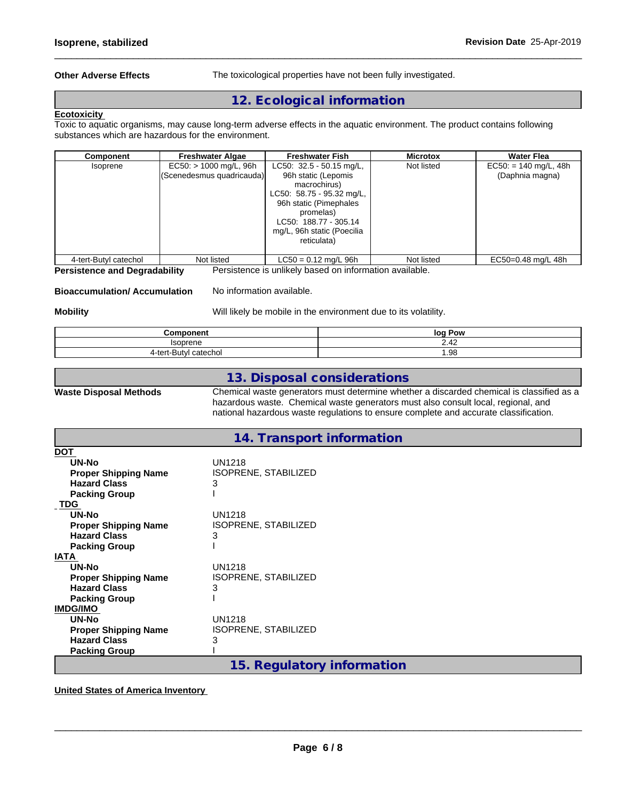**Other Adverse Effects** The toxicological properties have not been fully investigated.

 $\_$  ,  $\_$  ,  $\_$  ,  $\_$  ,  $\_$  ,  $\_$  ,  $\_$  ,  $\_$  ,  $\_$  ,  $\_$  ,  $\_$  ,  $\_$  ,  $\_$  ,  $\_$  ,  $\_$  ,  $\_$  ,  $\_$  ,  $\_$  ,  $\_$  ,  $\_$  ,  $\_$  ,  $\_$  ,  $\_$  ,  $\_$  ,  $\_$  ,  $\_$  ,  $\_$  ,  $\_$  ,  $\_$  ,  $\_$  ,  $\_$  ,  $\_$  ,  $\_$  ,  $\_$  ,  $\_$  ,  $\_$  ,  $\_$  ,

## **12. Ecological information**

## **Ecotoxicity**

Toxic to aquatic organisms, may cause long-term adverse effects in the aquatic environment. The product contains following substances which are hazardous for the environment.

| Component             | <b>Freshwater Algae</b>                               | <b>Freshwater Fish</b>                                                                                                                                                                                      | <b>Microtox</b> | <b>Water Flea</b>                          |
|-----------------------|-------------------------------------------------------|-------------------------------------------------------------------------------------------------------------------------------------------------------------------------------------------------------------|-----------------|--------------------------------------------|
| Isoprene              | $EC50:$ > 1000 mg/L, 96h<br>(Scenedesmus quadricauda) | LC50: $32.5 - 50.15$ mg/L,<br>96h static (Lepomis<br>macrochirus)<br>LC50: 58.75 - 95.32 mg/L,<br>96h static (Pimephales<br>promelas)<br>LC50: 188.77 - 305.14<br>mg/L, 96h static (Poecilia<br>reticulata) | Not listed      | $EC50: = 140$ mg/L, 48h<br>(Daphnia magna) |
| 4-tert-Butyl catechol | Not listed                                            | $LC50 = 0.12$ mg/L 96h                                                                                                                                                                                      | Not listed      | EC50=0.48 mg/L 48h                         |

**Persistence and Degradability** Persistence isunlikely based on information available.

## **Bioaccumulation/ Accumulation** No information available.

**Mobility** Mobillikely be mobile in the environment due to its volatility.

| Component                            | log Pow |
|--------------------------------------|---------|
| lannnn                               | 2.42    |
| 4-ter<br>catechol<br>11 V Z<br>· ~ ~ | . 98. ، |

## **13. Disposal considerations**

**Waste Disposal Methods** Chemical waste generators must determine whether a discarded chemical is classified as a hazardous waste. Chemical waste generators must also consult local, regional, and national hazardous waste regulations to ensure complete and accurate classification.

## **14. Transport information**

| <b>DOT</b>                  |                            |
|-----------------------------|----------------------------|
| UN-No                       | UN1218                     |
| <b>Proper Shipping Name</b> | ISOPRENE, STABILIZED       |
| <b>Hazard Class</b>         | 3                          |
| <b>Packing Group</b>        |                            |
| <b>TDG</b>                  |                            |
| UN-No                       | UN1218                     |
| <b>Proper Shipping Name</b> | ISOPRENE, STABILIZED       |
| <b>Hazard Class</b>         | 3                          |
| <b>Packing Group</b>        |                            |
| <b>IATA</b>                 |                            |
| UN-No                       | UN1218                     |
| <b>Proper Shipping Name</b> | ISOPRENE, STABILIZED       |
| <b>Hazard Class</b>         | 3                          |
| <b>Packing Group</b>        |                            |
| <b>IMDG/IMO</b>             |                            |
| UN-No                       | <b>UN1218</b>              |
| <b>Proper Shipping Name</b> | ISOPRENE, STABILIZED       |
| <b>Hazard Class</b>         | 3                          |
| <b>Packing Group</b>        |                            |
|                             | 15. Regulatory information |
|                             |                            |

**United States of America Inventory**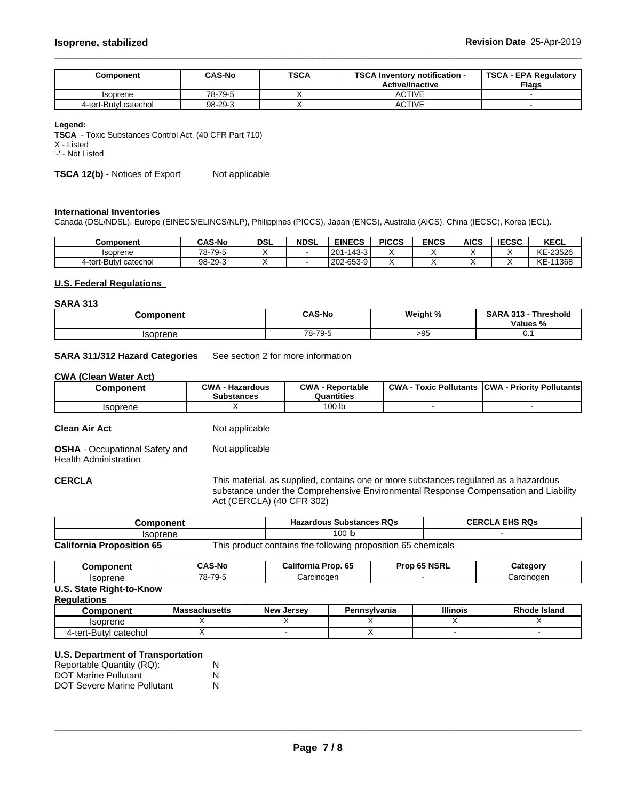| Component             | <b>CAS-No</b> | <b>TSCA</b> | <b>TSCA</b><br><b>\ Inventory notification -</b><br><b>Active/Inactive</b> | <b>TSCA - EPA Regulatory</b><br><b>Flags</b> |
|-----------------------|---------------|-------------|----------------------------------------------------------------------------|----------------------------------------------|
| Isoprene              | 78-79-5       |             | ACTIVE                                                                     |                                              |
| 4-tert-Butyl catechol | 98-29-3       |             | ACTIVE                                                                     |                                              |

### **Legend:**

**TSCA** - Toxic Substances Control Act, (40 CFR Part 710)

X - Listed

'-' - Not Listed

**TSCA 12(b)** - Notices of Export Not applicable

## **International Inventories**

Canada (DSL/NDSL), Europe (EINECS/ELINCS/NLP), Philippines (PICCS), Japan (ENCS), Australia (AICS), China (IECSC), Korea (ECL).

| Component             | <b>CAS-No</b>       | <b>DSL</b> | <b>NDSL</b> | <b>EINECS</b>     | <b>PICCS</b> | <b>ENCS</b> | <b>AICS</b> | <b>IECSC</b> | KECL            |
|-----------------------|---------------------|------------|-------------|-------------------|--------------|-------------|-------------|--------------|-----------------|
| Isoprene              | $78 - 1$<br>$-79-5$ |            |             | 201-1<br>$-143-3$ |              |             |             |              | KE-23526        |
| 4-tert-Butyl catechol | 98-29-3             |            |             | 202-653-9         |              |             |             |              | $KE-1$<br>11368 |

## **U.S. Federal Regulations**

### **SARA 313**

| Component | <b>CAS-No</b> | Weight % | <b>SARA 313</b><br>Threshold<br>Values % |  |
|-----------|---------------|----------|------------------------------------------|--|
| Isoprene  | 78-79-5       | >95      | ν.,                                      |  |

## **SARA 311/312 Hazard Categories** See section 2 for more information

#### **CWA (Clean WaterAct)**

| Component | CWA<br>· Hazardous<br><b>Substances</b> | CWA<br>- Reportable<br>Quantities | <b>CWA</b><br><b>Toxic Pollutants</b> | <b>ICWA</b><br>ا - Prioritv Pollutants |
|-----------|-----------------------------------------|-----------------------------------|---------------------------------------|----------------------------------------|
| Isoprene  |                                         | 100 lb                            |                                       |                                        |

**Clean Air Act** Not applicable

**OSHA** - Occupational Safety and Health Administration Not applicable

**CERCLA** This material, as supplied, contains one or more substances regulated as a hazardous substance under the Comprehensive Environmental Response Compensation and Liability Act (CERCLA) (40 CFR 302)

| nponent                   |                | <b>Substances RQs</b><br>zardous<br>пd                   | <b>FHS ROS</b><br>:FR |
|---------------------------|----------------|----------------------------------------------------------|-----------------------|
| Isoprene                  |                | 100 lb                                                   |                       |
| California Proposition 65 | I his nroduct. | following proposition 65 chemicals .<br>† contains the l |                       |

**California Proposition 65** This product contains the following proposition 65 chemicals

| 'omnonant<br>ш | <b>CAS-No</b>                          | <br>--<br>California<br>----<br>ron 65 | rop 65 NSRL<br>. | ∴ategor∵   |
|----------------|----------------------------------------|----------------------------------------|------------------|------------|
| Isoprene       | 70<br>.70<br>, u_•<br>$\sim$<br>- 10-1 | Carcinoden                             |                  | Carcınoɑen |

## **U.S. State Right-to-Know**

| <b>Regulations</b> |  |
|--------------------|--|
|--------------------|--|

| <b>Component</b>             | ssachusetts<br>Ma: | <b>New</b><br>Jersev | Pennsvlvania | <b>Illinois</b> | Rh<br>Island<br>ode |
|------------------------------|--------------------|----------------------|--------------|-----------------|---------------------|
| Isoprene                     |                    |                      |              |                 |                     |
| catechol<br>– 4-tert-Butyi ∩ |                    |                      |              |                 |                     |

### **U.S. Department of Transportation**

| Reportable Quantity (RQ):          | N |
|------------------------------------|---|
| <b>DOT Marine Pollutant</b>        | N |
| <b>DOT Severe Marine Pollutant</b> | N |